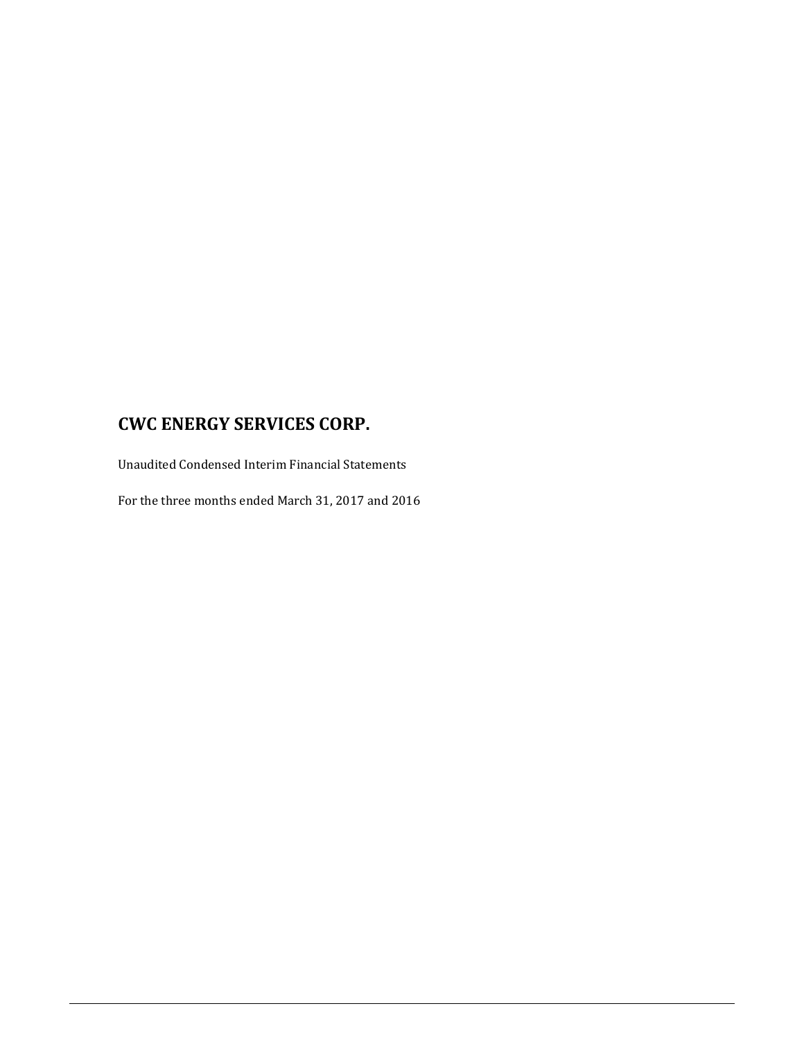Unaudited Condensed Interim Financial Statements

For the three months ended March 31, 2017 and 2016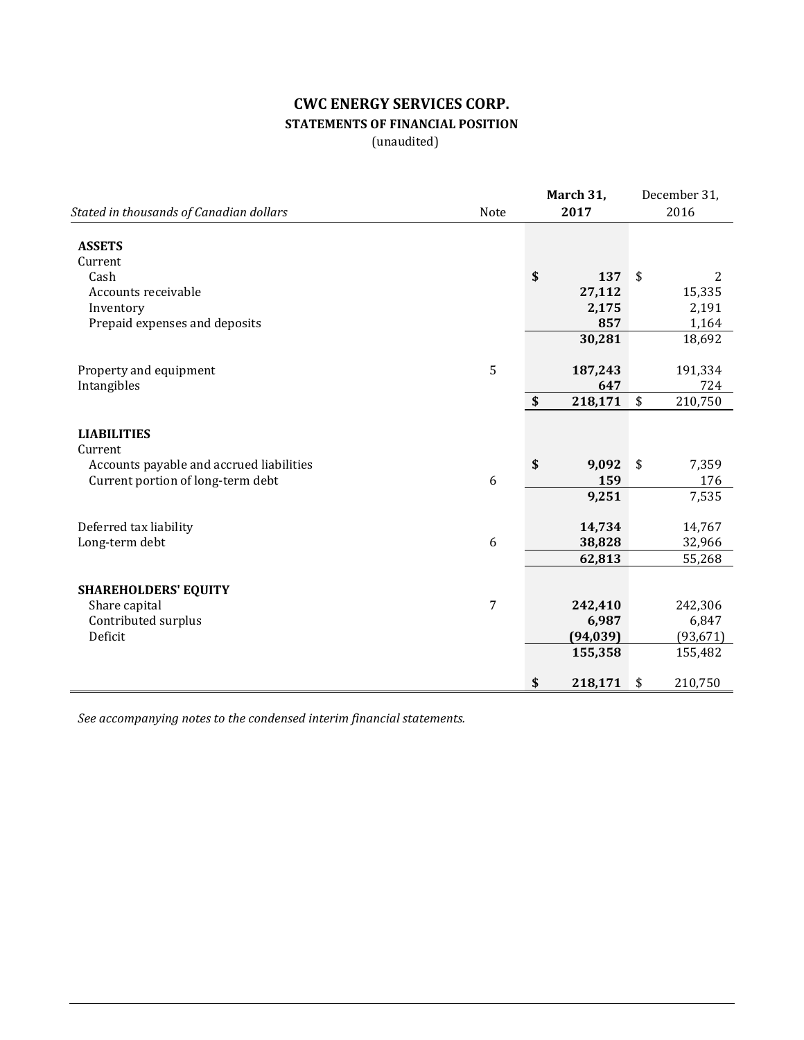# **CWC ENERGY SERVICES CORP. STATEMENTS OF FINANCIAL POSITION**

(unaudited)

|                                          |      |                           | March 31, | December 31, |           |
|------------------------------------------|------|---------------------------|-----------|--------------|-----------|
| Stated in thousands of Canadian dollars  | Note |                           | 2017      |              | 2016      |
| <b>ASSETS</b><br>Current                 |      |                           |           |              |           |
| Cash                                     |      | \$                        | 137       | \$           | 2         |
| Accounts receivable                      |      |                           | 27,112    |              | 15,335    |
| Inventory                                |      |                           | 2,175     |              | 2,191     |
| Prepaid expenses and deposits            |      |                           | 857       |              | 1,164     |
|                                          |      |                           | 30,281    |              | 18,692    |
| Property and equipment                   | 5    |                           | 187,243   |              | 191,334   |
| Intangibles                              |      |                           | 647       |              | 724       |
|                                          |      | $\boldsymbol{\mathsf{s}}$ | 218,171   | \$           | 210,750   |
| <b>LIABILITIES</b><br>Current            |      |                           |           |              |           |
| Accounts payable and accrued liabilities |      | \$                        | 9,092     | \$           | 7,359     |
| Current portion of long-term debt        | 6    |                           | 159       |              | 176       |
|                                          |      |                           | 9,251     |              | 7,535     |
| Deferred tax liability                   |      |                           | 14,734    |              | 14,767    |
| Long-term debt                           | 6    |                           | 38,828    |              | 32,966    |
|                                          |      |                           | 62,813    |              | 55,268    |
| <b>SHAREHOLDERS' EQUITY</b>              |      |                           |           |              |           |
| Share capital                            | 7    |                           | 242,410   |              | 242,306   |
| Contributed surplus                      |      |                           | 6,987     |              | 6,847     |
| Deficit                                  |      |                           | (94, 039) |              | (93, 671) |
|                                          |      |                           | 155,358   |              | 155,482   |
|                                          |      |                           |           |              |           |
|                                          |      | \$                        | 218,171   | \$           | 210,750   |

*See accompanying notes to the condensed interim financial statements.*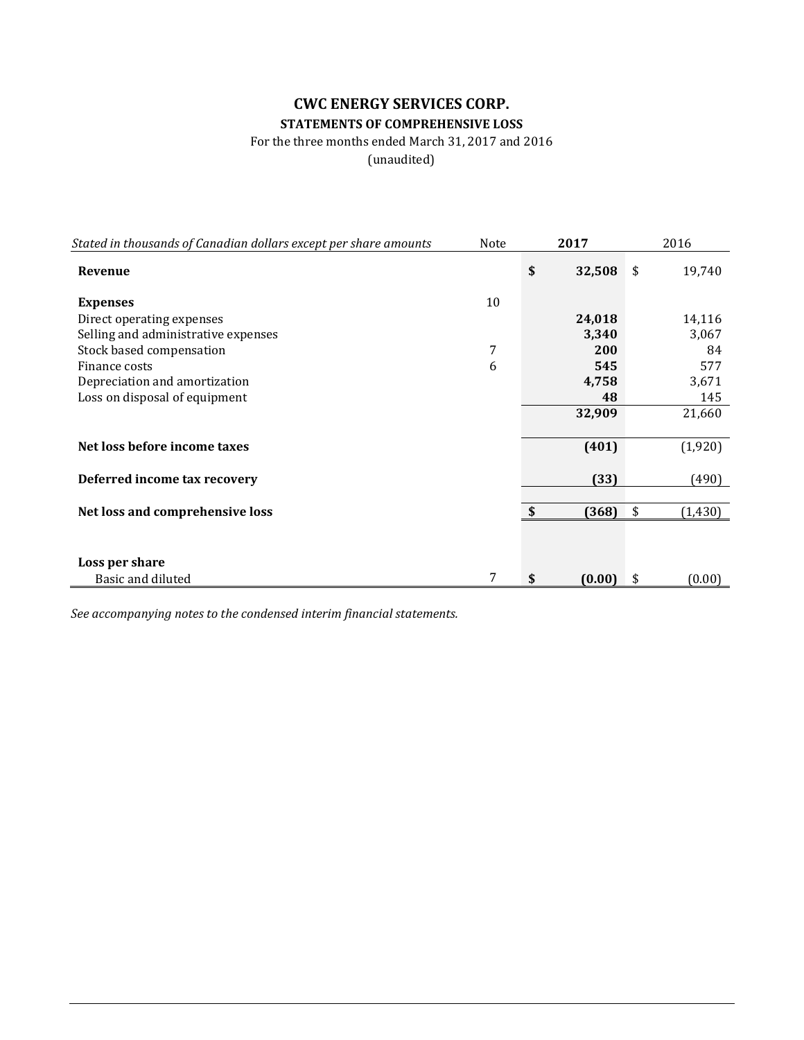## **CWC ENERGY SERVICES CORP. STATEMENTS OF COMPREHENSIVE LOSS**

#### For the three months ended March 31, 2017 and 2016

(unaudited)

| Stated in thousands of Canadian dollars except per share amounts | Note | 2017         | 2016          |
|------------------------------------------------------------------|------|--------------|---------------|
| Revenue                                                          |      | \$<br>32,508 | \$<br>19,740  |
| <b>Expenses</b>                                                  | 10   |              |               |
| Direct operating expenses                                        |      | 24,018       | 14,116        |
| Selling and administrative expenses                              |      | 3,340        | 3,067         |
| Stock based compensation                                         | 7    | 200          | 84            |
| Finance costs                                                    | 6    | 545          | 577           |
| Depreciation and amortization                                    |      | 4,758        | 3,671         |
| Loss on disposal of equipment                                    |      | 48           | 145           |
|                                                                  |      | 32,909       | 21,660        |
| Net loss before income taxes                                     |      | (401)        | (1,920)       |
| Deferred income tax recovery                                     |      | (33)         | (490)         |
|                                                                  |      |              |               |
| Net loss and comprehensive loss                                  |      | \$<br>(368)  | \$<br>(1,430) |
|                                                                  |      |              |               |
| Loss per share                                                   |      |              |               |
| Basic and diluted                                                | 7    | \$<br>(0.00) | \$<br>(0.00)  |

*See accompanying notes to the condensed interim financial statements.*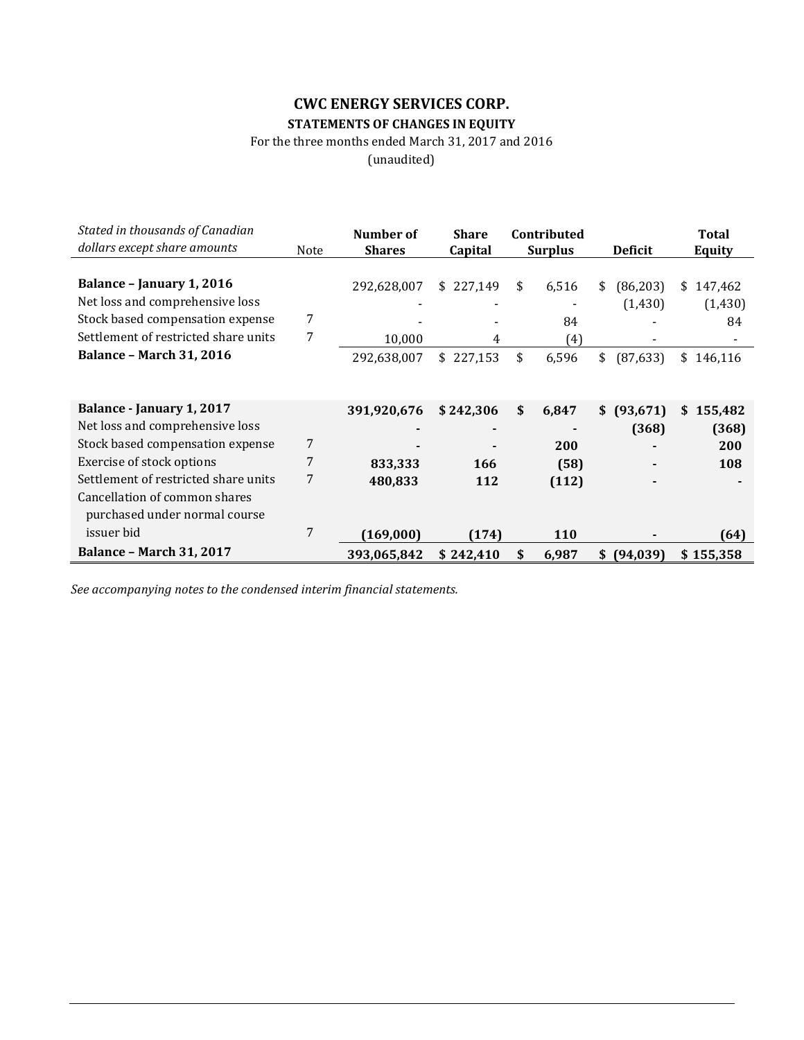## **CWC ENERGY SERVICES CORP. STATEMENTS OF CHANGES IN EQUITY**

For the three months ended March 31, 2017 and 2016

(unaudited)

| Stated in thousands of Canadian<br>dollars except share amounts |      | Number of     | <b>Share</b> | Contributed    |                 | <b>Total</b>  |
|-----------------------------------------------------------------|------|---------------|--------------|----------------|-----------------|---------------|
|                                                                 | Note | <b>Shares</b> | Capital      | <b>Surplus</b> | <b>Deficit</b>  | <b>Equity</b> |
| Balance - January 1, 2016                                       |      | 292,628,007   | \$227,149    | \$<br>6,516    | (86, 203)<br>\$ | 147,462<br>\$ |
| Net loss and comprehensive loss                                 |      |               |              |                | (1, 430)        | (1, 430)      |
| Stock based compensation expense                                | 7    |               |              | 84             |                 | 84            |
| Settlement of restricted share units                            | 7    | 10,000        | 4            | (4)            |                 |               |
| <b>Balance - March 31, 2016</b>                                 |      | 292,638,007   | \$227,153    | \$<br>6,596    | \$<br>(87, 633) | \$<br>146,116 |
|                                                                 |      |               |              |                |                 |               |
|                                                                 |      |               |              |                |                 |               |
| Balance - January 1, 2017                                       |      | 391,920,676   | \$242,306    | \$<br>6,847    | (93, 671)<br>\$ | 155,482<br>\$ |
| Net loss and comprehensive loss                                 |      |               |              |                | (368)           | (368)         |
| Stock based compensation expense                                | 7    |               |              | 200            |                 | 200           |
| Exercise of stock options                                       | 7    | 833,333       | 166          | (58)           |                 | 108           |
| Settlement of restricted share units                            | 7    | 480,833       | 112          | (112)          |                 |               |
| Cancellation of common shares                                   |      |               |              |                |                 |               |
| purchased under normal course                                   |      |               |              |                |                 |               |
| issuer bid                                                      | 7    | (169, 000)    | (174)        | <b>110</b>     |                 | [64]          |
| <b>Balance - March 31, 2017</b>                                 |      | 393,065,842   | \$242,410    | \$<br>6,987    | (94, 039)<br>\$ | \$155,358     |

*See accompanying notes to the condensed interim financial statements.*

L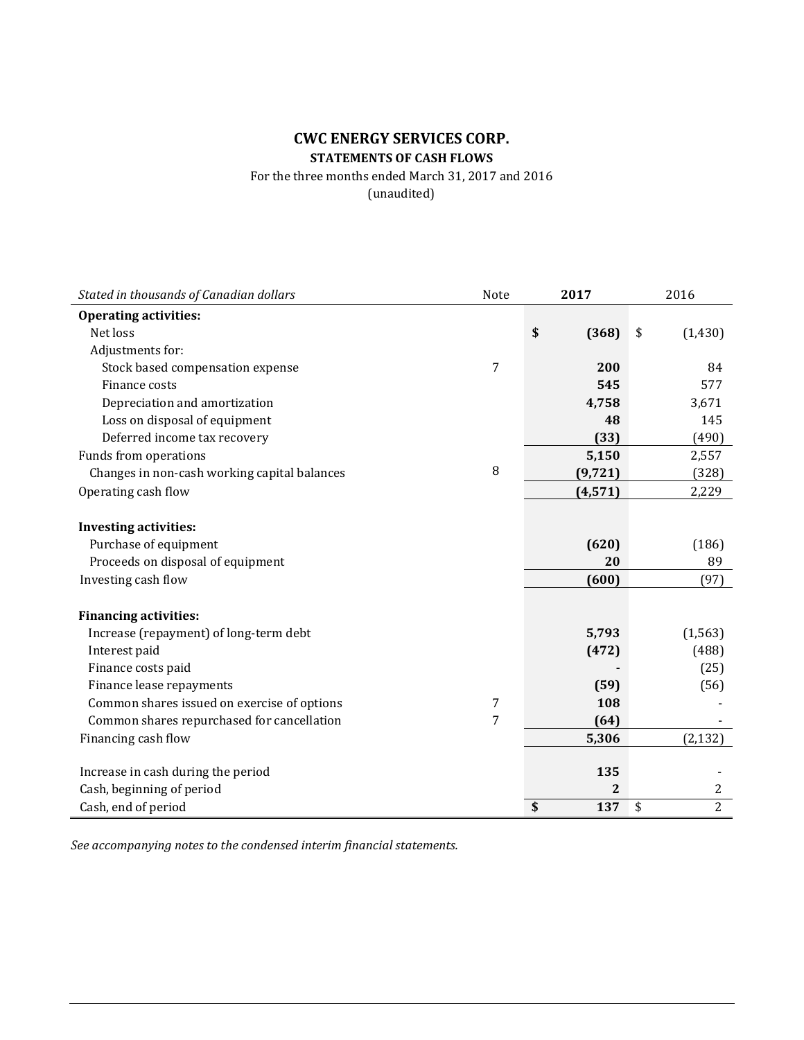## **CWC ENERGY SERVICES CORP. STATEMENTS OF CASH FLOWS**

For the three months ended March 31, 2017 and 2016

(unaudited)

| Stated in thousands of Canadian dollars      | Note | 2017        | 2016                 |
|----------------------------------------------|------|-------------|----------------------|
| <b>Operating activities:</b>                 |      |             |                      |
| Net loss                                     |      | \$<br>(368) | \$<br>(1, 430)       |
| Adjustments for:                             |      |             |                      |
| Stock based compensation expense             | 7    | 200         | 84                   |
| Finance costs                                |      | 545         | 577                  |
| Depreciation and amortization                |      | 4,758       | 3,671                |
| Loss on disposal of equipment                |      | 48          | 145                  |
| Deferred income tax recovery                 |      | (33)        | (490)                |
| Funds from operations                        |      | 5,150       | 2,557                |
| Changes in non-cash working capital balances | 8    | (9, 721)    | (328)                |
| Operating cash flow                          |      | (4, 571)    | 2,229                |
|                                              |      |             |                      |
| <b>Investing activities:</b>                 |      |             |                      |
| Purchase of equipment                        |      | (620)       | (186)                |
| Proceeds on disposal of equipment            |      | 20          | 89                   |
| Investing cash flow                          |      | (600)       | (97)                 |
|                                              |      |             |                      |
| <b>Financing activities:</b>                 |      |             |                      |
| Increase (repayment) of long-term debt       |      | 5,793       | (1, 563)             |
| Interest paid                                |      | (472)       | (488)                |
| Finance costs paid                           |      |             | (25)                 |
| Finance lease repayments                     |      | (59)        | (56)                 |
| Common shares issued on exercise of options  | 7    | 108         |                      |
| Common shares repurchased for cancellation   | 7    | (64)        |                      |
| Financing cash flow                          |      | 5,306       | (2, 132)             |
|                                              |      |             |                      |
| Increase in cash during the period           |      | 135         |                      |
| Cash, beginning of period                    |      | 2           | $\overline{c}$       |
| Cash, end of period                          |      | \$<br>137   | $\overline{2}$<br>\$ |

*See accompanying notes to the condensed interim financial statements.*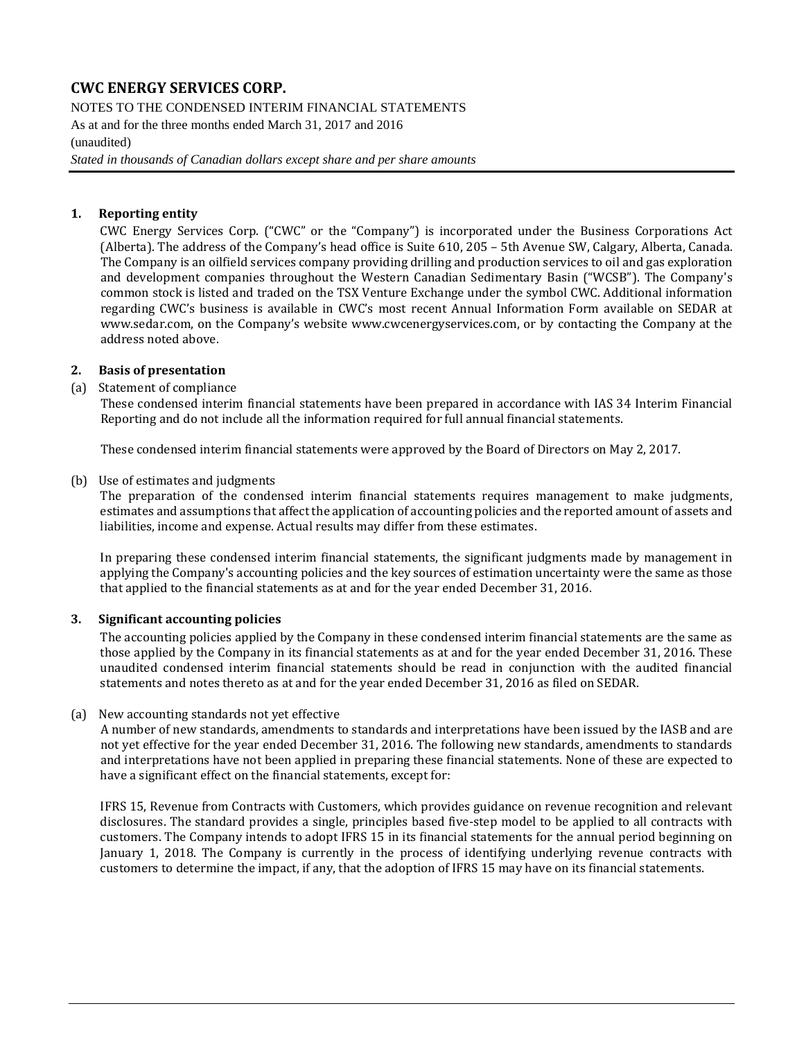NOTES TO THE CONDENSED INTERIM FINANCIAL STATEMENTS As at and for the three months ended March 31, 2017 and 2016 (unaudited)

*Stated in thousands of Canadian dollars except share and per share amounts*

#### **1. Reporting entity**

CWC Energy Services Corp. ("CWC" or the "Company") is incorporated under the Business Corporations Act (Alberta). The address of the Company's head office is Suite 610, 205 – 5th Avenue SW, Calgary, Alberta, Canada. The Company is an oilfield services company providing drilling and production services to oil and gas exploration and development companies throughout the Western Canadian Sedimentary Basin ("WCSB"). The Company's common stock is listed and traded on the TSX Venture Exchange under the symbol CWC. Additional information regarding CWC's business is available in CWC's most recent Annual Information Form available on SEDAR at [www.sedar.com,](http://www.sedar.com/) on the Company's website [www.cwcenergyservices.com,](http://www.cwcenergyservices.com/) or by contacting the Company at the address noted above.

#### **2. Basis of presentation**

#### (a) Statement of compliance

These condensed interim financial statements have been prepared in accordance with IAS 34 Interim Financial Reporting and do not include all the information required for full annual financial statements.

These condensed interim financial statements were approved by the Board of Directors on May 2, 2017.

#### (b) Use of estimates and judgments

The preparation of the condensed interim financial statements requires management to make judgments, estimates and assumptions that affect the application of accounting policies and the reported amount of assets and liabilities, income and expense. Actual results may differ from these estimates.

In preparing these condensed interim financial statements, the significant judgments made by management in applying the Company's accounting policies and the key sources of estimation uncertainty were the same as those that applied to the financial statements as at and for the year ended December 31, 2016.

#### **3. Significant accounting policies**

The accounting policies applied by the Company in these condensed interim financial statements are the same as those applied by the Company in its financial statements as at and for the year ended December 31, 2016. These unaudited condensed interim financial statements should be read in conjunction with the audited financial statements and notes thereto as at and for the year ended December 31, 2016 as filed on SEDAR.

#### (a) New accounting standards not yet effective

A number of new standards, amendments to standards and interpretations have been issued by the IASB and are not yet effective for the year ended December 31, 2016. The following new standards, amendments to standards and interpretations have not been applied in preparing these financial statements. None of these are expected to have a significant effect on the financial statements, except for:

IFRS 15, Revenue from Contracts with Customers, which provides guidance on revenue recognition and relevant disclosures. The standard provides a single, principles based five-step model to be applied to all contracts with customers. The Company intends to adopt IFRS 15 in its financial statements for the annual period beginning on January 1, 2018. The Company is currently in the process of identifying underlying revenue contracts with customers to determine the impact, if any, that the adoption of IFRS 15 may have on its financial statements.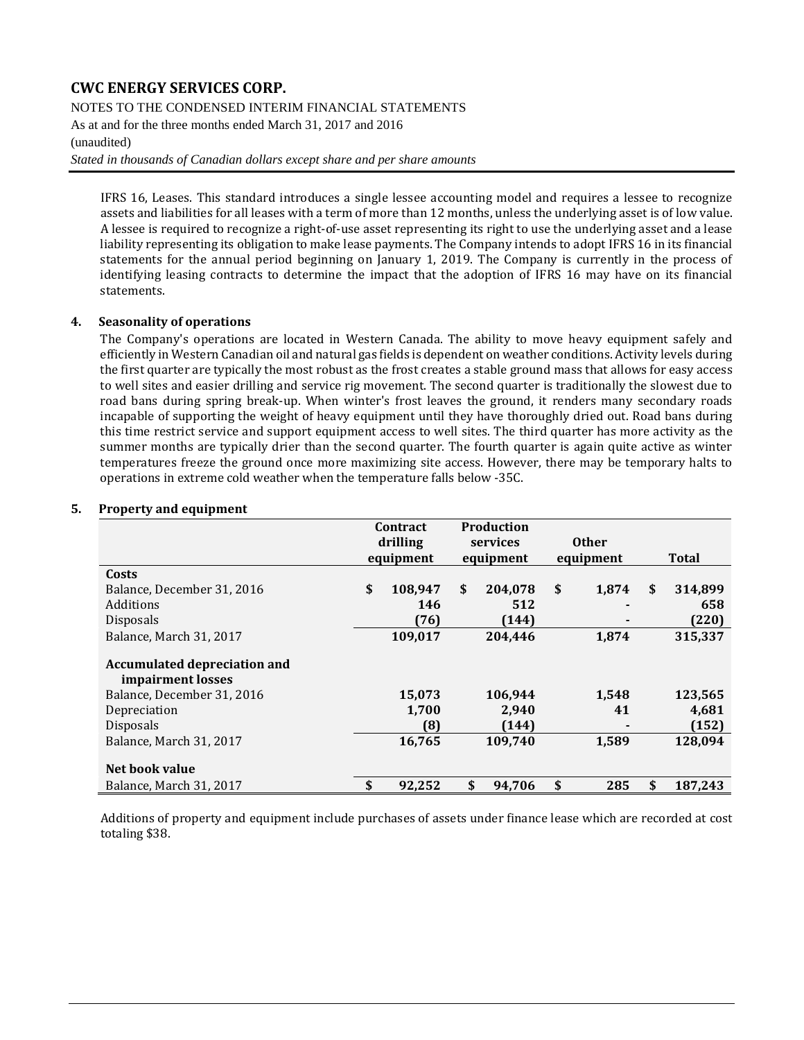NOTES TO THE CONDENSED INTERIM FINANCIAL STATEMENTS

As at and for the three months ended March 31, 2017 and 2016

#### (unaudited)

*Stated in thousands of Canadian dollars except share and per share amounts*

IFRS 16, Leases. This standard introduces a single lessee accounting model and requires a lessee to recognize assets and liabilities for all leases with a term of more than 12 months, unless the underlying asset is of low value. A lessee is required to recognize a right-of-use asset representing its right to use the underlying asset and a lease liability representing its obligation to make lease payments. The Company intends to adopt IFRS 16 in its financial statements for the annual period beginning on January 1, 2019. The Company is currently in the process of identifying leasing contracts to determine the impact that the adoption of IFRS 16 may have on its financial statements.

#### **4. Seasonality of operations**

The Company's operations are located in Western Canada. The ability to move heavy equipment safely and efficiently in Western Canadian oil and natural gas fields is dependent on weather conditions. Activity levels during the first quarter are typically the most robust as the frost creates a stable ground mass that allows for easy access to well sites and easier drilling and service rig movement. The second quarter is traditionally the slowest due to road bans during spring break-up. When winter's frost leaves the ground, it renders many secondary roads incapable of supporting the weight of heavy equipment until they have thoroughly dried out. Road bans during this time restrict service and support equipment access to well sites. The third quarter has more activity as the summer months are typically drier than the second quarter. The fourth quarter is again quite active as winter temperatures freeze the ground once more maximizing site access. However, there may be temporary halts to operations in extreme cold weather when the temperature falls below -35C.

#### **Contract drilling equipment Production services equipment Other equipment Total Costs** Balance, December 31, 2016 **\$ 108,947 \$ 204,078 \$ 1,874 \$ 314,899** Additions **146 512 - 658** Disposals **(76) (144) - (220)** Balance, March 31, 2017 **109,017 204,446 1,874 315,337 Accumulated depreciation and impairment losses** Balance, December 31, 2016 **15,073 106,944 1,548 123,565** Depreciation **1,700 2,940 41 4,681** Disposals **(8) (144) - (152)** Balance, March 31, 2017 **16,765 109,740 1,589 128,094 Net book value** Balance, March 31, 2017 **\$ 92,252 \$ 94,706 \$ 285 \$ 187,243**

#### **5. Property and equipment**

Additions of property and equipment include purchases of assets under finance lease which are recorded at cost totaling \$38.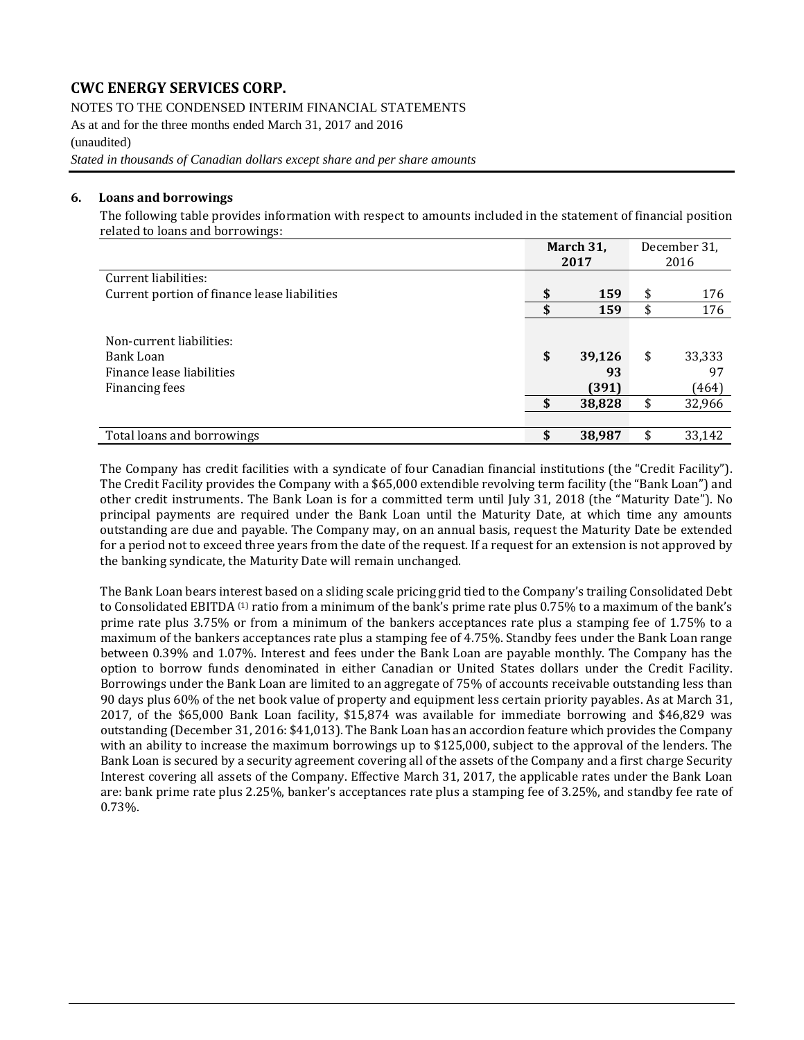NOTES TO THE CONDENSED INTERIM FINANCIAL STATEMENTS

As at and for the three months ended March 31, 2017 and 2016 (unaudited)

*Stated in thousands of Canadian dollars except share and per share amounts*

#### **6. Loans and borrowings**

The following table provides information with respect to amounts included in the statement of financial position related to loans and borrowings:

|                                                                                      |           | March 31,<br>2017               |          | December 31,<br>2016            |
|--------------------------------------------------------------------------------------|-----------|---------------------------------|----------|---------------------------------|
| Current liabilities:                                                                 |           |                                 |          |                                 |
| Current portion of finance lease liabilities                                         | \$        | 159                             | \$       | 176                             |
|                                                                                      | \$        | 159                             | \$       | 176                             |
| Non-current liabilities:<br>Bank Loan<br>Finance lease liabilities<br>Financing fees | \$<br>\$. | 39,126<br>93<br>(391)<br>38,828 | \$<br>\$ | 33,333<br>97<br>(464)<br>32,966 |
| Total loans and borrowings                                                           | S         | 38,987                          |          | 33,142                          |

The Company has credit facilities with a syndicate of four Canadian financial institutions (the "Credit Facility"). The Credit Facility provides the Company with a \$65,000 extendible revolving term facility (the "Bank Loan") and other credit instruments. The Bank Loan is for a committed term until July 31, 2018 (the "Maturity Date"). No principal payments are required under the Bank Loan until the Maturity Date, at which time any amounts outstanding are due and payable. The Company may, on an annual basis, request the Maturity Date be extended for a period not to exceed three years from the date of the request. If a request for an extension is not approved by the banking syndicate, the Maturity Date will remain unchanged.

The Bank Loan bears interest based on a sliding scale pricing grid tied to the Company's trailing Consolidated Debt to Consolidated EBITDA <sup>(1)</sup> ratio from a minimum of the bank's prime rate plus 0.75% to a maximum of the bank's prime rate plus 3.75% or from a minimum of the bankers acceptances rate plus a stamping fee of 1.75% to a maximum of the bankers acceptances rate plus a stamping fee of 4.75%. Standby fees under the Bank Loan range between 0.39% and 1.07%. Interest and fees under the Bank Loan are payable monthly. The Company has the option to borrow funds denominated in either Canadian or United States dollars under the Credit Facility. Borrowings under the Bank Loan are limited to an aggregate of 75% of accounts receivable outstanding less than 90 days plus 60% of the net book value of property and equipment less certain priority payables. As at March 31, 2017, of the \$65,000 Bank Loan facility, \$15,874 was available for immediate borrowing and \$46,829 was outstanding (December 31, 2016: \$41,013). The Bank Loan has an accordion feature which provides the Company with an ability to increase the maximum borrowings up to \$125,000, subject to the approval of the lenders. The Bank Loan is secured by a security agreement covering all of the assets of the Company and a first charge Security Interest covering all assets of the Company. Effective March 31, 2017, the applicable rates under the Bank Loan are: bank prime rate plus 2.25%, banker's acceptances rate plus a stamping fee of 3.25%, and standby fee rate of 0.73%.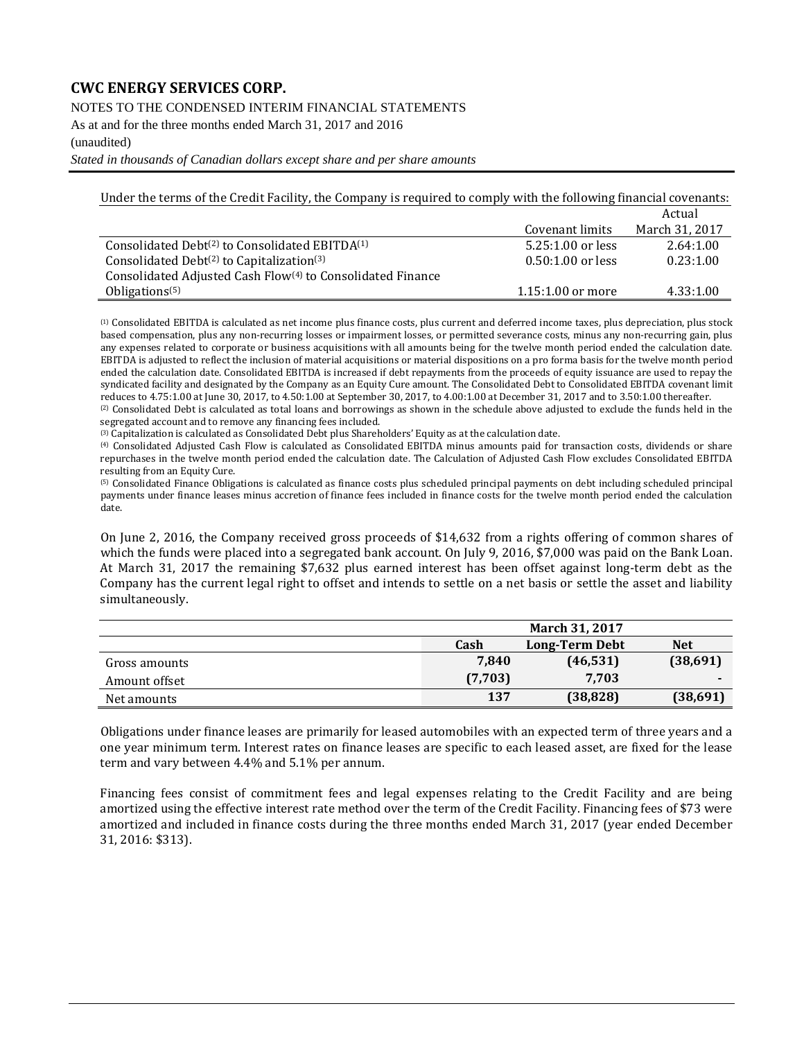NOTES TO THE CONDENSED INTERIM FINANCIAL STATEMENTS

As at and for the three months ended March 31, 2017 and 2016

(unaudited)

*Stated in thousands of Canadian dollars except share and per share amounts*

Under the terms of the Credit Facility, the Company is required to comply with the following financial covenants:

|                                                                        |                     | Actual         |
|------------------------------------------------------------------------|---------------------|----------------|
|                                                                        | Covenant limits     | March 31, 2017 |
| Consolidated Debt <sup>(2)</sup> to Consolidated EBITDA <sup>(1)</sup> | $5.25:1.00$ or less | 2.64:1.00      |
| Consolidated Debt $(2)$ to Capitalization $(3)$                        | $0.50:1.00$ or less | 0.23:1.00      |
| Consolidated Adjusted Cash Flow <sup>(4)</sup> to Consolidated Finance |                     |                |
| Obligations <sup><math>(5)</math></sup>                                | $1.15:1.00$ or more | 4.33:1.00      |

(1) Consolidated EBITDA is calculated as net income plus finance costs, plus current and deferred income taxes, plus depreciation, plus stock based compensation, plus any non-recurring losses or impairment losses, or permitted severance costs, minus any non-recurring gain, plus any expenses related to corporate or business acquisitions with all amounts being for the twelve month period ended the calculation date. EBITDA is adjusted to reflect the inclusion of material acquisitions or material dispositions on a pro forma basis for the twelve month period ended the calculation date. Consolidated EBITDA is increased if debt repayments from the proceeds of equity issuance are used to repay the syndicated facility and designated by the Company as an Equity Cure amount. The Consolidated Debt to Consolidated EBITDA covenant limit reduces to 4.75:1.00 at June 30, 2017, to 4.50:1.00 at September 30, 2017, to 4.00:1.00 at December 31, 2017 and to 3.50:1.00 thereafter.

(2) Consolidated Debt is calculated as total loans and borrowings as shown in the schedule above adjusted to exclude the funds held in the segregated account and to remove any financing fees included.

(3) Capitalization is calculated as Consolidated Debt plus Shareholders' Equity as at the calculation date.

(4) Consolidated Adjusted Cash Flow is calculated as Consolidated EBITDA minus amounts paid for transaction costs, dividends or share repurchases in the twelve month period ended the calculation date. The Calculation of Adjusted Cash Flow excludes Consolidated EBITDA resulting from an Equity Cure.

(5) Consolidated Finance Obligations is calculated as finance costs plus scheduled principal payments on debt including scheduled principal payments under finance leases minus accretion of finance fees included in finance costs for the twelve month period ended the calculation date.

On June 2, 2016, the Company received gross proceeds of \$14,632 from a rights offering of common shares of which the funds were placed into a segregated bank account. On July 9, 2016, \$7,000 was paid on the Bank Loan. At March 31, 2017 the remaining \$7,632 plus earned interest has been offset against long-term debt as the Company has the current legal right to offset and intends to settle on a net basis or settle the asset and liability simultaneously.

|               |         | <b>March 31, 2017</b> |            |
|---------------|---------|-----------------------|------------|
|               | Cash    | <b>Long-Term Debt</b> | <b>Net</b> |
| Gross amounts | 7,840   | (46, 531)             | (38,691)   |
| Amount offset | (7,703) | 7.703                 |            |
| Net amounts   | 137     | (38, 828)             | (38,691)   |

Obligations under finance leases are primarily for leased automobiles with an expected term of three years and a one year minimum term. Interest rates on finance leases are specific to each leased asset, are fixed for the lease term and vary between 4.4% and 5.1% per annum.

Financing fees consist of commitment fees and legal expenses relating to the Credit Facility and are being amortized using the effective interest rate method over the term of the Credit Facility. Financing fees of \$73 were amortized and included in finance costs during the three months ended March 31, 2017 (year ended December 31, 2016: \$313).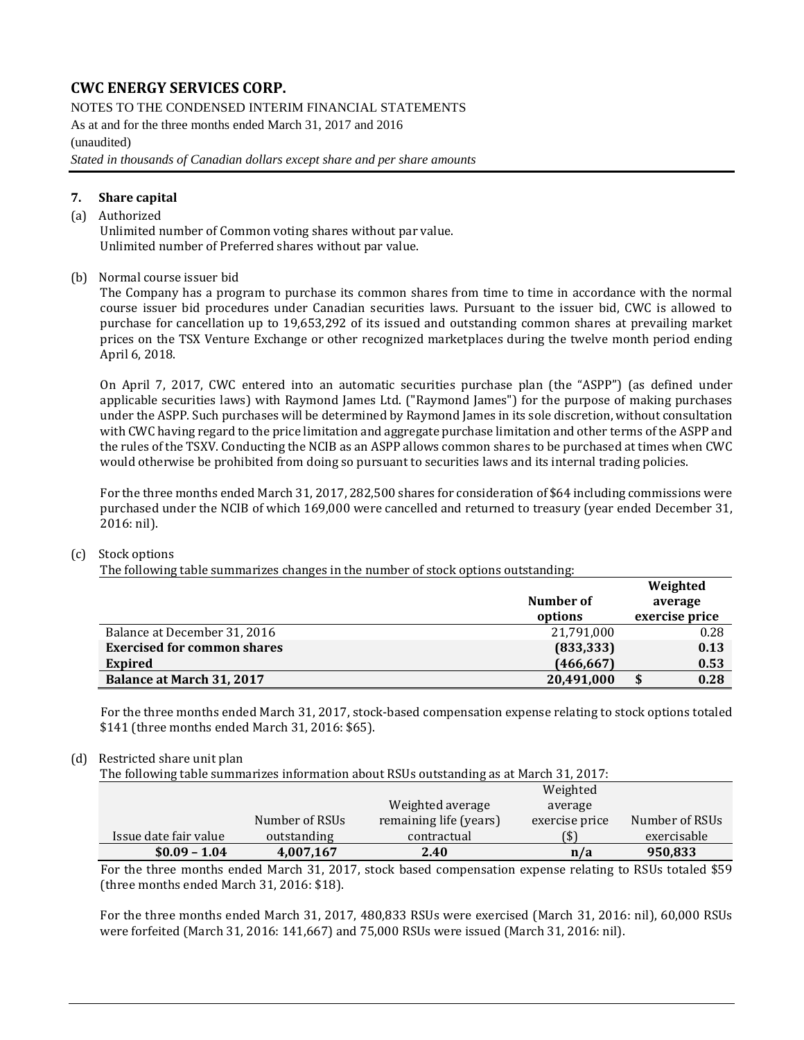NOTES TO THE CONDENSED INTERIM FINANCIAL STATEMENTS As at and for the three months ended March 31, 2017 and 2016 (unaudited) *Stated in thousands of Canadian dollars except share and per share amounts*

#### **7. Share capital**

#### (a) Authorized

Unlimited number of Common voting shares without par value. Unlimited number of Preferred shares without par value.

#### (b) Normal course issuer bid

The Company has a program to purchase its common shares from time to time in accordance with the normal course issuer bid procedures under Canadian securities laws. Pursuant to the issuer bid, CWC is allowed to purchase for cancellation up to 19,653,292 of its issued and outstanding common shares at prevailing market prices on the TSX Venture Exchange or other recognized marketplaces during the twelve month period ending April 6, 2018.

On April 7, 2017, CWC entered into an automatic securities purchase plan (the "ASPP") (as defined under applicable securities laws) with Raymond James Ltd. ("Raymond James") for the purpose of making purchases under the ASPP. Such purchases will be determined by Raymond James in its sole discretion, without consultation with CWC having regard to the price limitation and aggregate purchase limitation and other terms of the ASPP and the rules of the TSXV. Conducting the NCIB as an ASPP allows common shares to be purchased at times when CWC would otherwise be prohibited from doing so pursuant to securities laws and its internal trading policies.

For the three months ended March 31, 2017, 282,500 shares for consideration of \$64 including commissions were purchased under the NCIB of which 169,000 were cancelled and returned to treasury (year ended December 31, 2016: nil).

#### (c) Stock options

The following table summarizes changes in the number of stock options outstanding:

|                                    |            | Weighted       |
|------------------------------------|------------|----------------|
|                                    | Number of  | average        |
|                                    | options    | exercise price |
| Balance at December 31, 2016       | 21,791,000 | 0.28           |
| <b>Exercised for common shares</b> | (833, 333) | 0.13           |
| Expired                            | (466, 667) | 0.53           |
| Balance at March 31, 2017          | 20,491,000 | 0.28           |

For the three months ended March 31, 2017, stock-based compensation expense relating to stock options totaled \$141 (three months ended March 31, 2016: \$65).

#### (d) Restricted share unit plan

The following table summarizes information about RSUs outstanding as at March 31, 2017:

|                       |                |                        | Weighted       |                |
|-----------------------|----------------|------------------------|----------------|----------------|
|                       |                | Weighted average       | average        |                |
|                       | Number of RSUs | remaining life (years) | exercise price | Number of RSUs |
| Issue date fair value | outstanding    | contractual            |                | exercisable    |
| $$0.09 - 1.04$        | 4,007,167      | 2.40                   | n/a            | 950,833        |

For the three months ended March 31, 2017, stock based compensation expense relating to RSUs totaled \$59 (three months ended March 31, 2016: \$18).

For the three months ended March 31, 2017, 480,833 RSUs were exercised (March 31, 2016: nil), 60,000 RSUs were forfeited (March 31, 2016: 141,667) and 75,000 RSUs were issued (March 31, 2016: nil).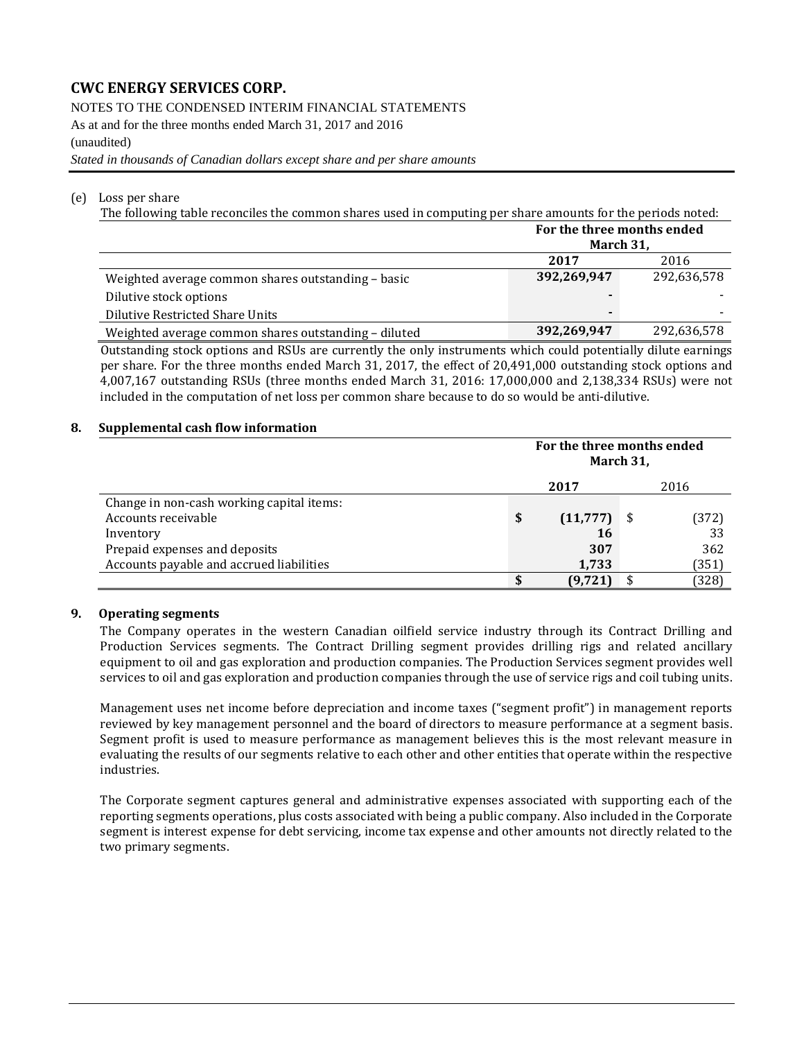NOTES TO THE CONDENSED INTERIM FINANCIAL STATEMENTS

As at and for the three months ended March 31, 2017 and 2016

#### (unaudited)

*Stated in thousands of Canadian dollars except share and per share amounts*

#### (e) Loss per share

The following table reconciles the common shares used in computing per share amounts for the periods noted:

|                                                      | For the three months ended<br>March 31, |             |
|------------------------------------------------------|-----------------------------------------|-------------|
|                                                      | 2017                                    | 2016        |
| Weighted average common shares outstanding - basic   | 392,269,947                             | 292,636,578 |
| Dilutive stock options                               |                                         |             |
| Dilutive Restricted Share Units                      |                                         |             |
| Weighted average common shares outstanding - diluted | 392,269,947                             | 292,636,578 |

Outstanding stock options and RSUs are currently the only instruments which could potentially dilute earnings per share. For the three months ended March 31, 2017, the effect of 20,491,000 outstanding stock options and 4,007,167 outstanding RSUs (three months ended March 31, 2016: 17,000,000 and 2,138,334 RSUs) were not included in the computation of net loss per common share because to do so would be anti-dilutive.

#### **8. Supplemental cash flow information**

|                                           | For the three months ended<br>March 31, |       |
|-------------------------------------------|-----------------------------------------|-------|
|                                           | 2017                                    | 2016  |
| Change in non-cash working capital items: |                                         |       |
| Accounts receivable                       | \$<br>$(11,777)$ \$                     | (372) |
| Inventory                                 | 16                                      | 33    |
| Prepaid expenses and deposits             | 307                                     | 362   |
| Accounts payable and accrued liabilities  | 1,733                                   | (351) |
|                                           | (9,721                                  | (328) |

#### **9. Operating segments**

The Company operates in the western Canadian oilfield service industry through its Contract Drilling and Production Services segments. The Contract Drilling segment provides drilling rigs and related ancillary equipment to oil and gas exploration and production companies. The Production Services segment provides well services to oil and gas exploration and production companies through the use of service rigs and coil tubing units.

Management uses net income before depreciation and income taxes ("segment profit") in management reports reviewed by key management personnel and the board of directors to measure performance at a segment basis. Segment profit is used to measure performance as management believes this is the most relevant measure in evaluating the results of our segments relative to each other and other entities that operate within the respective industries.

The Corporate segment captures general and administrative expenses associated with supporting each of the reporting segments operations, plus costs associated with being a public company. Also included in the Corporate segment is interest expense for debt servicing, income tax expense and other amounts not directly related to the two primary segments.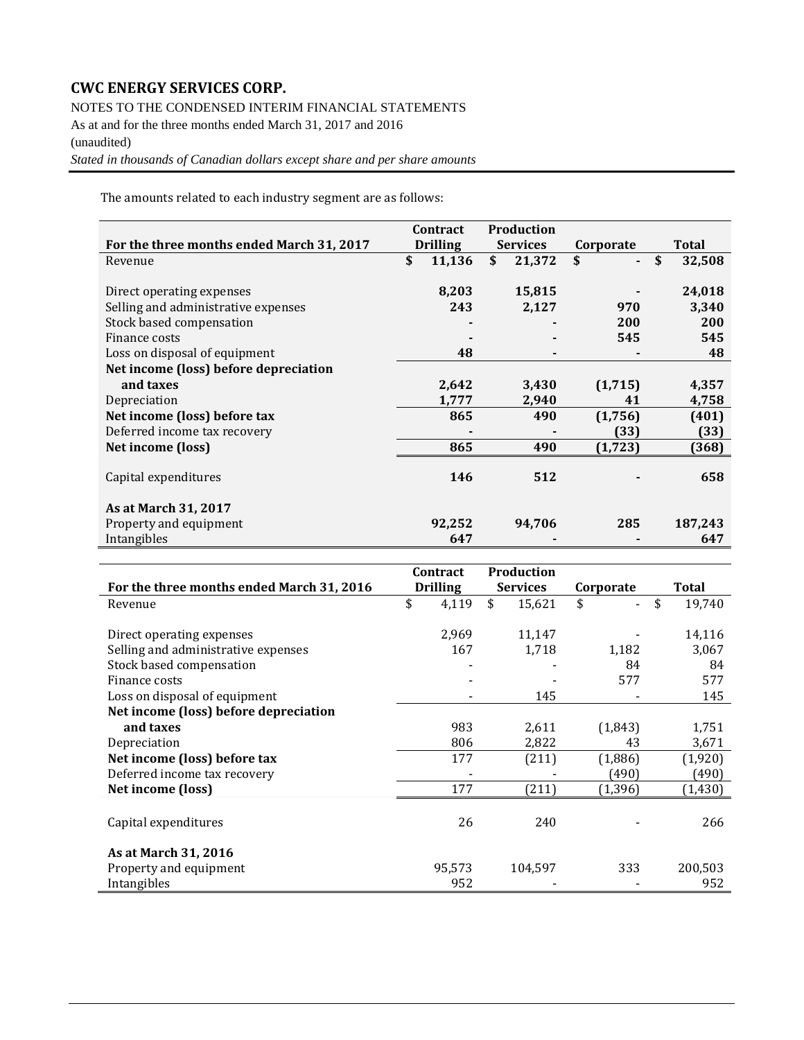NOTES TO THE CONDENSED INTERIM FINANCIAL STATEMENTS As at and for the three months ended March 31, 2017 and 2016 (unaudited)

*Stated in thousands of Canadian dollars except share and per share amounts*

The amounts related to each industry segment are as follows:

|                                           | Contract |                 | <b>Production</b> |        |           |          |              |         |
|-------------------------------------------|----------|-----------------|-------------------|--------|-----------|----------|--------------|---------|
| For the three months ended March 31, 2017 |          | <b>Drilling</b> | <b>Services</b>   |        | Corporate |          | <b>Total</b> |         |
| Revenue                                   | \$       | 11,136          | \$                | 21,372 | \$        |          | \$           | 32,508  |
|                                           |          |                 |                   |        |           |          |              |         |
| Direct operating expenses                 |          | 8,203           |                   | 15,815 |           |          |              | 24,018  |
| Selling and administrative expenses       |          | 243             |                   | 2,127  |           | 970      |              | 3,340   |
| Stock based compensation                  |          |                 |                   |        |           | 200      |              | 200     |
| Finance costs                             |          |                 |                   |        |           | 545      |              | 545     |
| Loss on disposal of equipment             |          | 48              |                   |        |           |          |              | 48      |
| Net income (loss) before depreciation     |          |                 |                   |        |           |          |              |         |
| and taxes                                 |          | 2,642           |                   | 3,430  |           | (1,715)  |              | 4,357   |
| Depreciation                              |          | 1,777           |                   | 2,940  |           | 41       |              | 4,758   |
| Net income (loss) before tax              |          | 865             |                   | 490    |           | (1,756)  |              | (401)   |
| Deferred income tax recovery              |          |                 |                   |        |           | (33)     |              | (33)    |
| Net income (loss)                         |          | 865             |                   | 490    |           | (1, 723) |              | (368)   |
|                                           |          |                 |                   |        |           |          |              |         |
| Capital expenditures                      |          | 146             |                   | 512    |           |          |              | 658     |
|                                           |          |                 |                   |        |           |          |              |         |
| As at March 31, 2017                      |          |                 |                   |        |           |          |              |         |
| Property and equipment                    |          | 92,252          |                   | 94,706 |           | 285      |              | 187,243 |
| Intangibles                               |          | 647             |                   |        |           |          |              | 647     |

|                                           | Contract        | Production      |           |              |
|-------------------------------------------|-----------------|-----------------|-----------|--------------|
| For the three months ended March 31, 2016 | <b>Drilling</b> | <b>Services</b> | Corporate | Total        |
| Revenue                                   | \$<br>4,119     | \$<br>15,621    | \$        | \$<br>19,740 |
|                                           |                 |                 |           |              |
| Direct operating expenses                 | 2,969           | 11,147          |           | 14,116       |
| Selling and administrative expenses       | 167             | 1,718           | 1,182     | 3,067        |
| Stock based compensation                  |                 |                 | 84        | 84           |
| Finance costs                             |                 |                 | 577       | 577          |
| Loss on disposal of equipment             |                 | 145             |           | 145          |
| Net income (loss) before depreciation     |                 |                 |           |              |
| and taxes                                 | 983             | 2,611           | (1,843)   | 1,751        |
| Depreciation                              | 806             | 2,822           | 43        | 3,671        |
| Net income (loss) before tax              | 177             | (211)           | (1,886)   | (1,920)      |
| Deferred income tax recovery              |                 |                 | 490)      | (490)        |
| Net income (loss)                         | 177             | (211)           | (1, 396)  | (1, 430)     |
|                                           |                 |                 |           |              |
| Capital expenditures                      | 26              | 240             |           | 266          |
|                                           |                 |                 |           |              |
| As at March 31, 2016                      |                 |                 |           |              |
| Property and equipment                    | 95,573          | 104,597         | 333       | 200,503      |
| Intangibles                               | 952             |                 |           | 952          |